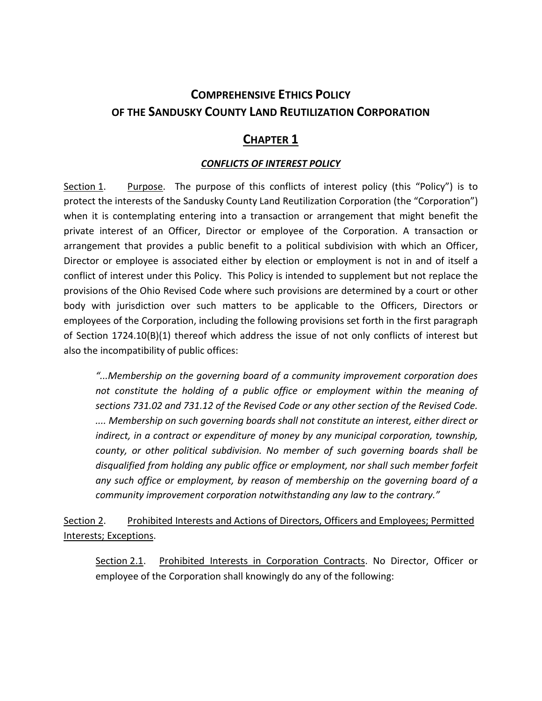# **COMPREHENSIVE ETHICS POLICY OF THE SANDUSKY COUNTY LAND REUTILIZATION CORPORATION**

## **CHAPTER 1**

## *CONFLICTS OF INTEREST POLICY*

Section 1. Purpose. The purpose of this conflicts of interest policy (this "Policy") is to protect the interests of the Sandusky County Land Reutilization Corporation (the "Corporation") when it is contemplating entering into a transaction or arrangement that might benefit the private interest of an Officer, Director or employee of the Corporation. A transaction or arrangement that provides a public benefit to a political subdivision with which an Officer, Director or employee is associated either by election or employment is not in and of itself a conflict of interest under this Policy. This Policy is intended to supplement but not replace the provisions of the Ohio Revised Code where such provisions are determined by a court or other body with jurisdiction over such matters to be applicable to the Officers, Directors or employees of the Corporation, including the following provisions set forth in the first paragraph of Section 1724.10(B)(1) thereof which address the issue of not only conflicts of interest but also the incompatibility of public offices:

*"...Membership on the governing board of a community improvement corporation does not constitute the holding of a public office or employment within the meaning of sections 731.02 and 731.12 of the Revised Code or any other section of the Revised Code. .... Membership on such governing boards shall not constitute an interest, either direct or indirect, in a contract or expenditure of money by any municipal corporation, township, county, or other political subdivision. No member of such governing boards shall be disqualified from holding any public office or employment, nor shall such member forfeit any such office or employment, by reason of membership on the governing board of a community improvement corporation notwithstanding any law to the contrary."*

Section 2. Prohibited Interests and Actions of Directors, Officers and Employees; Permitted Interests; Exceptions.

Section 2.1. Prohibited Interests in Corporation Contracts. No Director, Officer or employee of the Corporation shall knowingly do any of the following: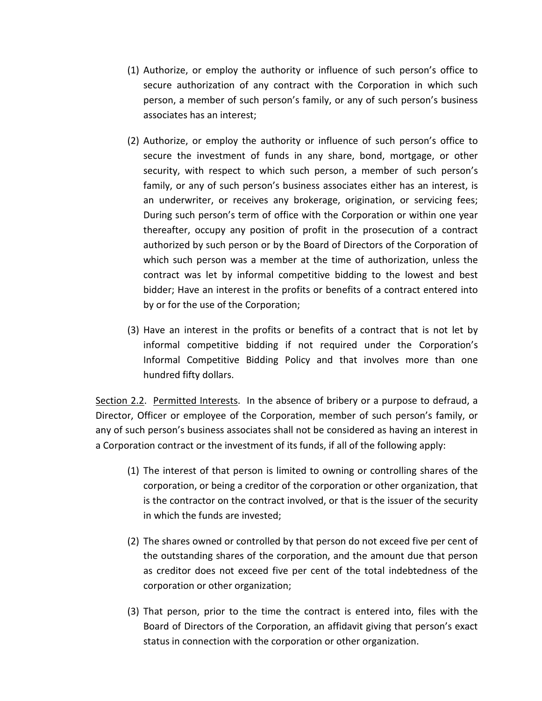- (1) Authorize, or employ the authority or influence of such person's office to secure authorization of any contract with the Corporation in which such person, a member of such person's family, or any of such person's business associates has an interest;
- (2) Authorize, or employ the authority or influence of such person's office to secure the investment of funds in any share, bond, mortgage, or other security, with respect to which such person, a member of such person's family, or any of such person's business associates either has an interest, is an underwriter, or receives any brokerage, origination, or servicing fees; During such person's term of office with the Corporation or within one year thereafter, occupy any position of profit in the prosecution of a contract authorized by such person or by the Board of Directors of the Corporation of which such person was a member at the time of authorization, unless the contract was let by informal competitive bidding to the lowest and best bidder; Have an interest in the profits or benefits of a contract entered into by or for the use of the Corporation;
- (3) Have an interest in the profits or benefits of a contract that is not let by informal competitive bidding if not required under the Corporation's Informal Competitive Bidding Policy and that involves more than one hundred fifty dollars.

Section 2.2. Permitted Interests. In the absence of bribery or a purpose to defraud, a Director, Officer or employee of the Corporation, member of such person's family, or any of such person's business associates shall not be considered as having an interest in a Corporation contract or the investment of its funds, if all of the following apply:

- (1) The interest of that person is limited to owning or controlling shares of the corporation, or being a creditor of the corporation or other organization, that is the contractor on the contract involved, or that is the issuer of the security in which the funds are invested;
- (2) The shares owned or controlled by that person do not exceed five per cent of the outstanding shares of the corporation, and the amount due that person as creditor does not exceed five per cent of the total indebtedness of the corporation or other organization;
- (3) That person, prior to the time the contract is entered into, files with the Board of Directors of the Corporation, an affidavit giving that person's exact status in connection with the corporation or other organization.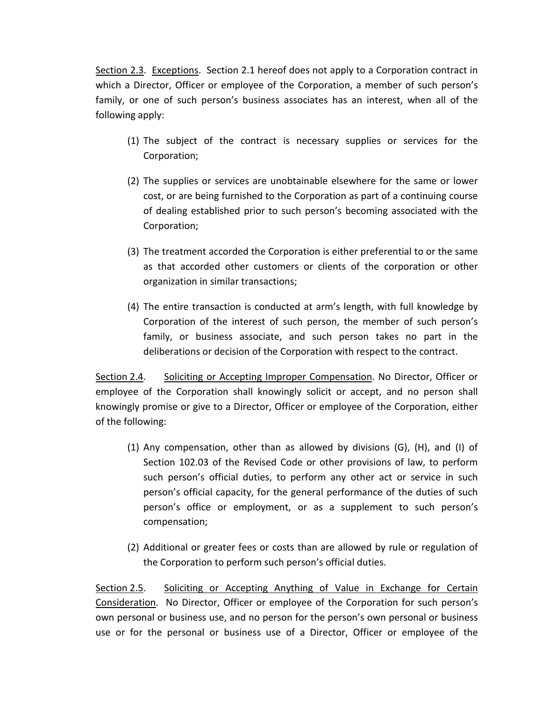Section 2.3. Exceptions. Section 2.1 hereof does not apply to a Corporation contract in which a Director, Officer or employee of the Corporation, a member of such person's family, or one of such person's business associates has an interest, when all of the following apply:

- (1) The subject of the contract is necessary supplies or services for the Corporation;
- (2) The supplies or services are unobtainable elsewhere for the same or lower cost, or are being furnished to the Corporation as part of a continuing course of dealing established prior to such person's becoming associated with the Corporation;
- (3) The treatment accorded the Corporation is either preferential to or the same as that accorded other customers or clients of the corporation or other organization in similar transactions;
- (4) The entire transaction is conducted at arm's length, with full knowledge by Corporation of the interest of such person, the member of such person's family, or business associate, and such person takes no part in the deliberations or decision of the Corporation with respect to the contract.

Section 2.4. Soliciting or Accepting Improper Compensation. No Director, Officer or employee of the Corporation shall knowingly solicit or accept, and no person shall knowingly promise or give to a Director, Officer or employee of the Corporation, either of the following:

- (1) Any compensation, other than as allowed by divisions (G), (H), and (I) of Section 102.03 of the Revised Code or other provisions of law, to perform such person's official duties, to perform any other act or service in such person's official capacity, for the general performance of the duties of such person's office or employment, or as a supplement to such person's compensation;
- (2) Additional or greater fees or costs than are allowed by rule or regulation of the Corporation to perform such person's official duties.

Section 2.5. Soliciting or Accepting Anything of Value in Exchange for Certain Consideration. No Director, Officer or employee of the Corporation for such person's own personal or business use, and no person for the person's own personal or business use or for the personal or business use of a Director, Officer or employee of the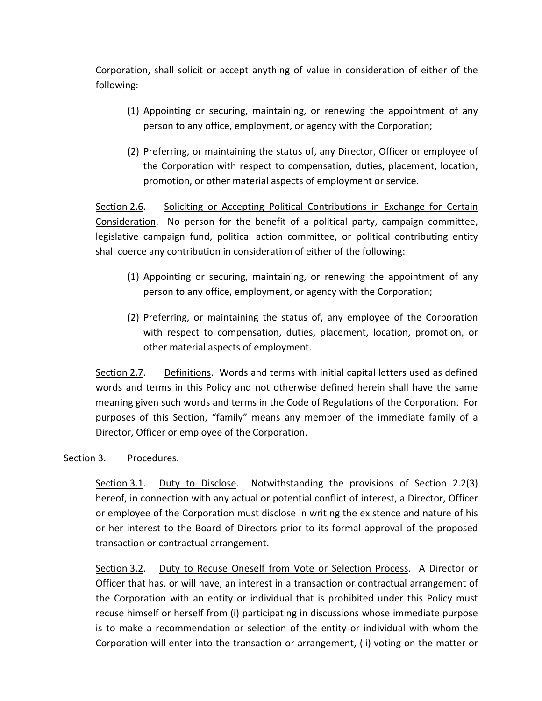Corporation, shall solicit or accept anything of value in consideration of either of the following:

- (1) Appointing or securing, maintaining, or renewing the appointment of any person to any office, employment, or agency with the Corporation;
- (2) Preferring, or maintaining the status of, any Director, Officer or employee of the Corporation with respect to compensation, duties, placement, location, promotion, or other material aspects of employment or service.

Section 2.6. Soliciting or Accepting Political Contributions in Exchange for Certain Consideration. No person for the benefit of a political party, campaign committee, legislative campaign fund, political action committee, or political contributing entity shall coerce any contribution in consideration of either of the following:

- (1) Appointing or securing, maintaining, or renewing the appointment of any person to any office, employment, or agency with the Corporation;
- (2) Preferring, or maintaining the status of, any employee of the Corporation with respect to compensation, duties, placement, location, promotion, or other material aspects of employment.

Section 2.7. Definitions. Words and terms with initial capital letters used as defined words and terms in this Policy and not otherwise defined herein shall have the same meaning given such words and terms in the Code of Regulations of the Corporation. For purposes of this Section, "family" means any member of the immediate family of a Director, Officer or employee of the Corporation.

### Section 3. Procedures.

Section 3.1. Duty to Disclose. Notwithstanding the provisions of Section 2.2(3) hereof, in connection with any actual or potential conflict of interest, a Director, Officer or employee of the Corporation must disclose in writing the existence and nature of his or her interest to the Board of Directors prior to its formal approval of the proposed transaction or contractual arrangement.

Section 3.2. Duty to Recuse Oneself from Vote or Selection Process. A Director or Officer that has, or will have, an interest in a transaction or contractual arrangement of the Corporation with an entity or individual that is prohibited under this Policy must recuse himself or herself from (i) participating in discussions whose immediate purpose is to make a recommendation or selection of the entity or individual with whom the Corporation will enter into the transaction or arrangement, (ii) voting on the matter or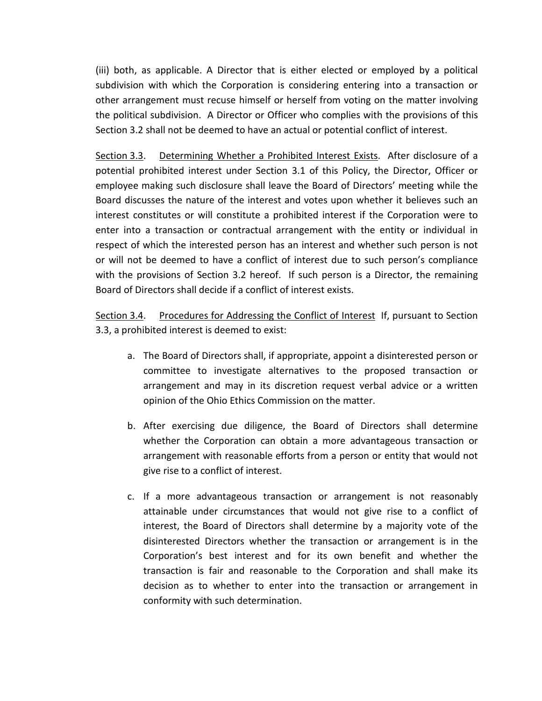(iii) both, as applicable. A Director that is either elected or employed by a political subdivision with which the Corporation is considering entering into a transaction or other arrangement must recuse himself or herself from voting on the matter involving the political subdivision. A Director or Officer who complies with the provisions of this Section 3.2 shall not be deemed to have an actual or potential conflict of interest.

Section 3.3. Determining Whether a Prohibited Interest Exists. After disclosure of a potential prohibited interest under Section 3.1 of this Policy, the Director, Officer or employee making such disclosure shall leave the Board of Directors' meeting while the Board discusses the nature of the interest and votes upon whether it believes such an interest constitutes or will constitute a prohibited interest if the Corporation were to enter into a transaction or contractual arrangement with the entity or individual in respect of which the interested person has an interest and whether such person is not or will not be deemed to have a conflict of interest due to such person's compliance with the provisions of Section 3.2 hereof. If such person is a Director, the remaining Board of Directors shall decide if a conflict of interest exists.

Section 3.4. Procedures for Addressing the Conflict of Interest If, pursuant to Section 3.3, a prohibited interest is deemed to exist:

- a. The Board of Directors shall, if appropriate, appoint a disinterested person or committee to investigate alternatives to the proposed transaction or arrangement and may in its discretion request verbal advice or a written opinion of the Ohio Ethics Commission on the matter.
- b. After exercising due diligence, the Board of Directors shall determine whether the Corporation can obtain a more advantageous transaction or arrangement with reasonable efforts from a person or entity that would not give rise to a conflict of interest.
- c. If a more advantageous transaction or arrangement is not reasonably attainable under circumstances that would not give rise to a conflict of interest, the Board of Directors shall determine by a majority vote of the disinterested Directors whether the transaction or arrangement is in the Corporation's best interest and for its own benefit and whether the transaction is fair and reasonable to the Corporation and shall make its decision as to whether to enter into the transaction or arrangement in conformity with such determination.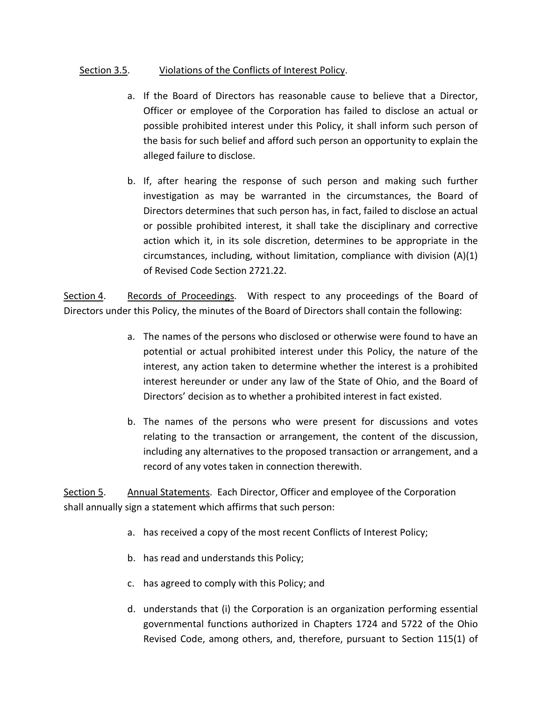### Section 3.5. Violations of the Conflicts of Interest Policy.

- a. If the Board of Directors has reasonable cause to believe that a Director, Officer or employee of the Corporation has failed to disclose an actual or possible prohibited interest under this Policy, it shall inform such person of the basis for such belief and afford such person an opportunity to explain the alleged failure to disclose.
- b. If, after hearing the response of such person and making such further investigation as may be warranted in the circumstances, the Board of Directors determines that such person has, in fact, failed to disclose an actual or possible prohibited interest, it shall take the disciplinary and corrective action which it, in its sole discretion, determines to be appropriate in the circumstances, including, without limitation, compliance with division (A)(1) of Revised Code Section 2721.22.

Section 4. Records of Proceedings. With respect to any proceedings of the Board of Directors under this Policy, the minutes of the Board of Directors shall contain the following:

- a. The names of the persons who disclosed or otherwise were found to have an potential or actual prohibited interest under this Policy, the nature of the interest, any action taken to determine whether the interest is a prohibited interest hereunder or under any law of the State of Ohio, and the Board of Directors' decision as to whether a prohibited interest in fact existed.
- b. The names of the persons who were present for discussions and votes relating to the transaction or arrangement, the content of the discussion, including any alternatives to the proposed transaction or arrangement, and a record of any votes taken in connection therewith.

Section 5. Annual Statements. Each Director, Officer and employee of the Corporation shall annually sign a statement which affirms that such person:

- a. has received a copy of the most recent Conflicts of Interest Policy;
- b. has read and understands this Policy;
- c. has agreed to comply with this Policy; and
- d. understands that (i) the Corporation is an organization performing essential governmental functions authorized in Chapters 1724 and 5722 of the Ohio Revised Code, among others, and, therefore, pursuant to Section 115(1) of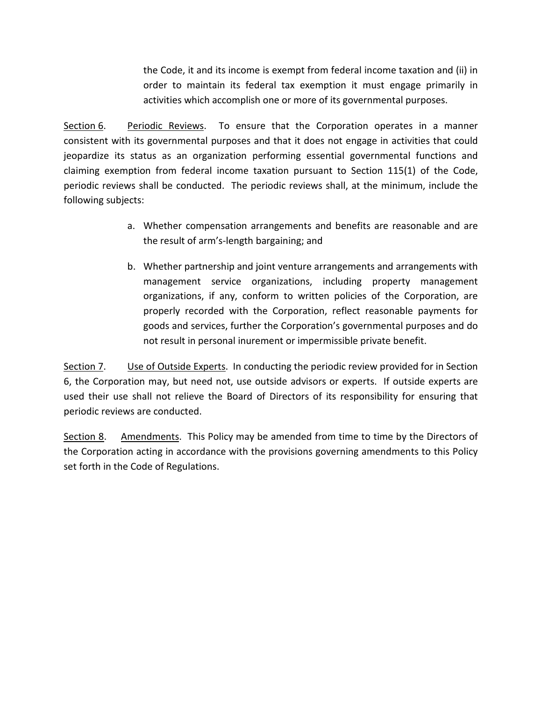the Code, it and its income is exempt from federal income taxation and (ii) in order to maintain its federal tax exemption it must engage primarily in activities which accomplish one or more of its governmental purposes.

Section 6. Periodic Reviews. To ensure that the Corporation operates in a manner consistent with its governmental purposes and that it does not engage in activities that could jeopardize its status as an organization performing essential governmental functions and claiming exemption from federal income taxation pursuant to Section 115(1) of the Code, periodic reviews shall be conducted. The periodic reviews shall, at the minimum, include the following subjects:

- a. Whether compensation arrangements and benefits are reasonable and are the result of arm's-length bargaining; and
- b. Whether partnership and joint venture arrangements and arrangements with management service organizations, including property management organizations, if any, conform to written policies of the Corporation, are properly recorded with the Corporation, reflect reasonable payments for goods and services, further the Corporation's governmental purposes and do not result in personal inurement or impermissible private benefit.

Section 7. Use of Outside Experts. In conducting the periodic review provided for in Section 6, the Corporation may, but need not, use outside advisors or experts. If outside experts are used their use shall not relieve the Board of Directors of its responsibility for ensuring that periodic reviews are conducted.

Section 8. Amendments. This Policy may be amended from time to time by the Directors of the Corporation acting in accordance with the provisions governing amendments to this Policy set forth in the Code of Regulations.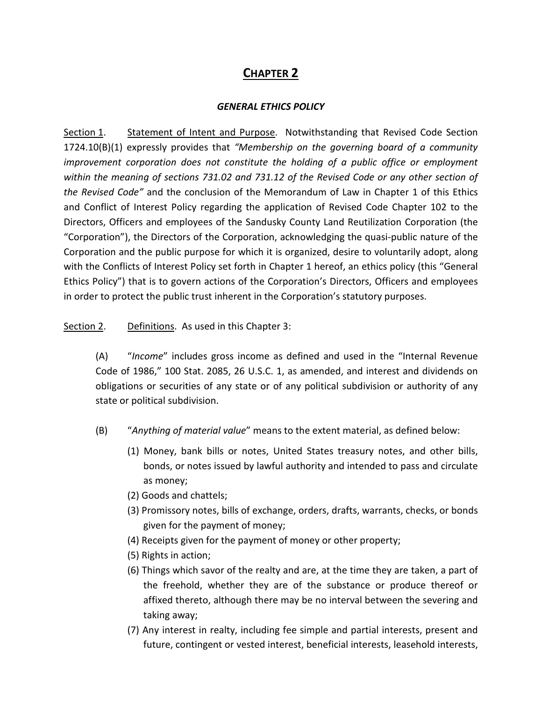## **CHAPTER 2**

### *GENERAL ETHICS POLICY*

Section 1. Statement of Intent and Purpose. Notwithstanding that Revised Code Section 1724.10(B)(1) expressly provides that *"Membership on the governing board of a community improvement corporation does not constitute the holding of a public office or employment within the meaning of sections 731.02 and 731.12 of the Revised Code or any other section of the Revised Code"* and the conclusion of the Memorandum of Law in Chapter 1 of this Ethics and Conflict of Interest Policy regarding the application of Revised Code Chapter 102 to the Directors, Officers and employees of the Sandusky County Land Reutilization Corporation (the "Corporation"), the Directors of the Corporation, acknowledging the quasi-public nature of the Corporation and the public purpose for which it is organized, desire to voluntarily adopt, along with the Conflicts of Interest Policy set forth in Chapter 1 hereof, an ethics policy (this "General Ethics Policy") that is to govern actions of the Corporation's Directors, Officers and employees in order to protect the public trust inherent in the Corporation's statutory purposes.

### Section 2. Definitions. As used in this Chapter 3:

(A) "*Income*" includes gross income as defined and used in the "Internal Revenue Code of 1986," 100 Stat. 2085, 26 U.S.C. 1, as amended, and interest and dividends on obligations or securities of any state or of any political subdivision or authority of any state or political subdivision.

- (B) "*Anything of material value*" means to the extent material, as defined below:
	- (1) Money, bank bills or notes, United States treasury notes, and other bills, bonds, or notes issued by lawful authority and intended to pass and circulate as money;
	- (2) Goods and chattels;
	- (3) Promissory notes, bills of exchange, orders, drafts, warrants, checks, or bonds given for the payment of money;
	- (4) Receipts given for the payment of money or other property;
	- (5) Rights in action;
	- (6) Things which savor of the realty and are, at the time they are taken, a part of the freehold, whether they are of the substance or produce thereof or affixed thereto, although there may be no interval between the severing and taking away;
	- (7) Any interest in realty, including fee simple and partial interests, present and future, contingent or vested interest, beneficial interests, leasehold interests,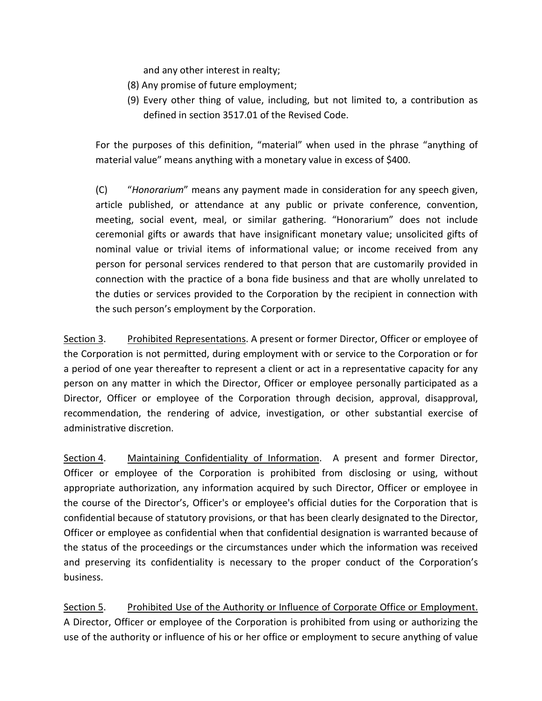and any other interest in realty;

- (8) Any promise of future employment;
- (9) Every other thing of value, including, but not limited to, a contribution as defined in section 3517.01 of the Revised Code.

For the purposes of this definition, "material" when used in the phrase "anything of material value" means anything with a monetary value in excess of \$400.

(C) "*Honorarium*" means any payment made in consideration for any speech given, article published, or attendance at any public or private conference, convention, meeting, social event, meal, or similar gathering. "Honorarium" does not include ceremonial gifts or awards that have insignificant monetary value; unsolicited gifts of nominal value or trivial items of informational value; or income received from any person for personal services rendered to that person that are customarily provided in connection with the practice of a bona fide business and that are wholly unrelated to the duties or services provided to the Corporation by the recipient in connection with the such person's employment by the Corporation.

Section 3. Prohibited Representations. A present or former Director, Officer or employee of the Corporation is not permitted, during employment with or service to the Corporation or for a period of one year thereafter to represent a client or act in a representative capacity for any person on any matter in which the Director, Officer or employee personally participated as a Director, Officer or employee of the Corporation through decision, approval, disapproval, recommendation, the rendering of advice, investigation, or other substantial exercise of administrative discretion.

Section 4. Maintaining Confidentiality of Information. A present and former Director, Officer or employee of the Corporation is prohibited from disclosing or using, without appropriate authorization, any information acquired by such Director, Officer or employee in the course of the Director's, Officer's or employee's official duties for the Corporation that is confidential because of statutory provisions, or that has been clearly designated to the Director, Officer or employee as confidential when that confidential designation is warranted because of the status of the proceedings or the circumstances under which the information was received and preserving its confidentiality is necessary to the proper conduct of the Corporation's business.

Section 5. Prohibited Use of the Authority or Influence of Corporate Office or Employment. A Director, Officer or employee of the Corporation is prohibited from using or authorizing the use of the authority or influence of his or her office or employment to secure anything of value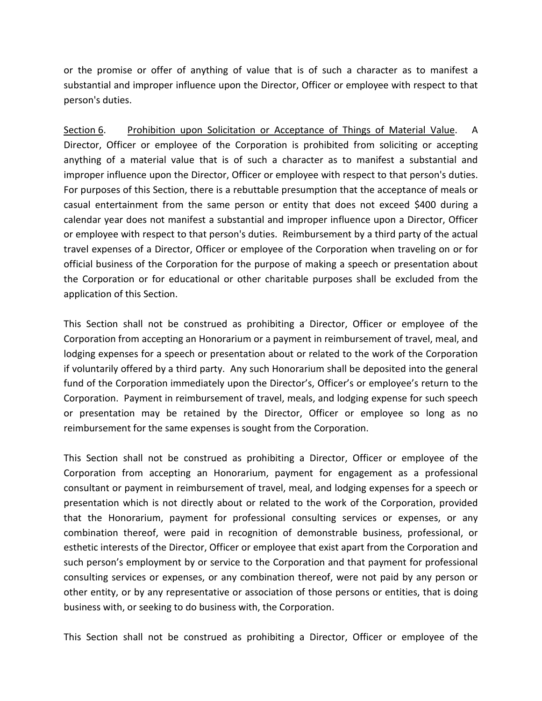or the promise or offer of anything of value that is of such a character as to manifest a substantial and improper influence upon the Director, Officer or employee with respect to that person's duties.

Section 6. Prohibition upon Solicitation or Acceptance of Things of Material Value. A Director, Officer or employee of the Corporation is prohibited from soliciting or accepting anything of a material value that is of such a character as to manifest a substantial and improper influence upon the Director, Officer or employee with respect to that person's duties. For purposes of this Section, there is a rebuttable presumption that the acceptance of meals or casual entertainment from the same person or entity that does not exceed \$400 during a calendar year does not manifest a substantial and improper influence upon a Director, Officer or employee with respect to that person's duties. Reimbursement by a third party of the actual travel expenses of a Director, Officer or employee of the Corporation when traveling on or for official business of the Corporation for the purpose of making a speech or presentation about the Corporation or for educational or other charitable purposes shall be excluded from the application of this Section.

This Section shall not be construed as prohibiting a Director, Officer or employee of the Corporation from accepting an Honorarium or a payment in reimbursement of travel, meal, and lodging expenses for a speech or presentation about or related to the work of the Corporation if voluntarily offered by a third party. Any such Honorarium shall be deposited into the general fund of the Corporation immediately upon the Director's, Officer's or employee's return to the Corporation. Payment in reimbursement of travel, meals, and lodging expense for such speech or presentation may be retained by the Director, Officer or employee so long as no reimbursement for the same expenses is sought from the Corporation.

This Section shall not be construed as prohibiting a Director, Officer or employee of the Corporation from accepting an Honorarium, payment for engagement as a professional consultant or payment in reimbursement of travel, meal, and lodging expenses for a speech or presentation which is not directly about or related to the work of the Corporation, provided that the Honorarium, payment for professional consulting services or expenses, or any combination thereof, were paid in recognition of demonstrable business, professional, or esthetic interests of the Director, Officer or employee that exist apart from the Corporation and such person's employment by or service to the Corporation and that payment for professional consulting services or expenses, or any combination thereof, were not paid by any person or other entity, or by any representative or association of those persons or entities, that is doing business with, or seeking to do business with, the Corporation.

This Section shall not be construed as prohibiting a Director, Officer or employee of the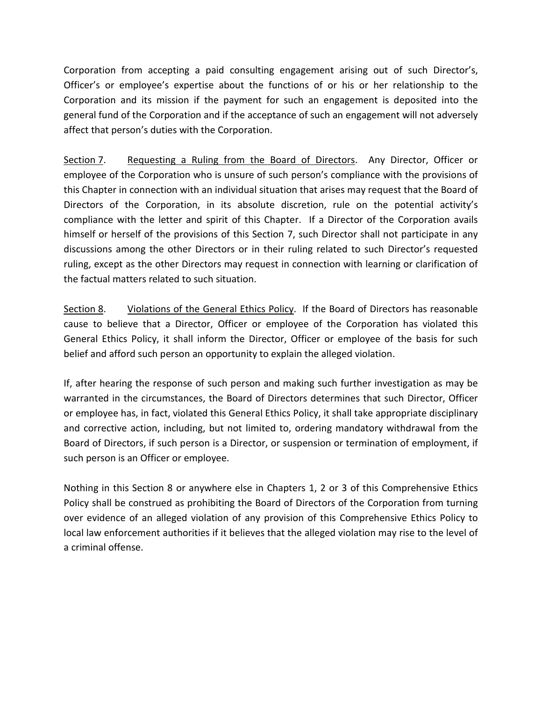Corporation from accepting a paid consulting engagement arising out of such Director's, Officer's or employee's expertise about the functions of or his or her relationship to the Corporation and its mission if the payment for such an engagement is deposited into the general fund of the Corporation and if the acceptance of such an engagement will not adversely affect that person's duties with the Corporation.

Section 7. Requesting a Ruling from the Board of Directors. Any Director, Officer or employee of the Corporation who is unsure of such person's compliance with the provisions of this Chapter in connection with an individual situation that arises may request that the Board of Directors of the Corporation, in its absolute discretion, rule on the potential activity's compliance with the letter and spirit of this Chapter. If a Director of the Corporation avails himself or herself of the provisions of this Section 7, such Director shall not participate in any discussions among the other Directors or in their ruling related to such Director's requested ruling, except as the other Directors may request in connection with learning or clarification of the factual matters related to such situation.

Section 8. Violations of the General Ethics Policy. If the Board of Directors has reasonable cause to believe that a Director, Officer or employee of the Corporation has violated this General Ethics Policy, it shall inform the Director, Officer or employee of the basis for such belief and afford such person an opportunity to explain the alleged violation.

If, after hearing the response of such person and making such further investigation as may be warranted in the circumstances, the Board of Directors determines that such Director, Officer or employee has, in fact, violated this General Ethics Policy, it shall take appropriate disciplinary and corrective action, including, but not limited to, ordering mandatory withdrawal from the Board of Directors, if such person is a Director, or suspension or termination of employment, if such person is an Officer or employee.

Nothing in this Section 8 or anywhere else in Chapters 1, 2 or 3 of this Comprehensive Ethics Policy shall be construed as prohibiting the Board of Directors of the Corporation from turning over evidence of an alleged violation of any provision of this Comprehensive Ethics Policy to local law enforcement authorities if it believes that the alleged violation may rise to the level of a criminal offense.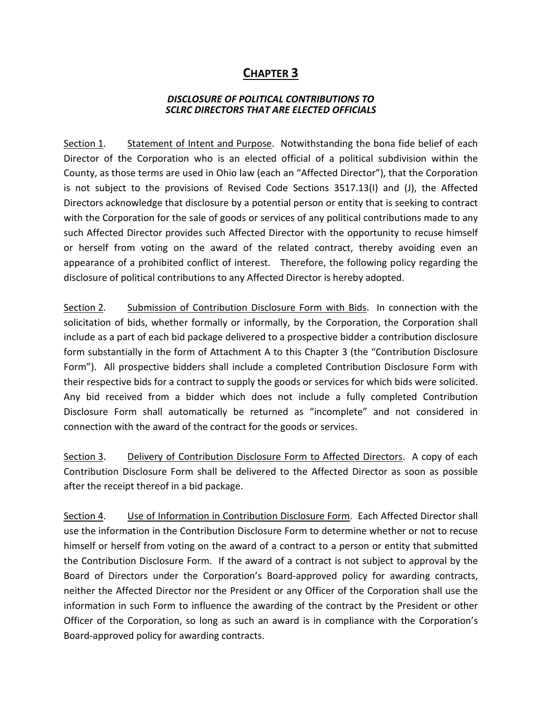## **CHAPTER 3**

### *DISCLOSURE OF POLITICAL CONTRIBUTIONS TO SCLRC DIRECTORS THAT ARE ELECTED OFFICIALS*

Section 1. Statement of Intent and Purpose. Notwithstanding the bona fide belief of each Director of the Corporation who is an elected official of a political subdivision within the County, as those terms are used in Ohio law (each an "Affected Director"), that the Corporation is not subject to the provisions of Revised Code Sections 3517.13(I) and (J), the Affected Directors acknowledge that disclosure by a potential person or entity that is seeking to contract with the Corporation for the sale of goods or services of any political contributions made to any such Affected Director provides such Affected Director with the opportunity to recuse himself or herself from voting on the award of the related contract, thereby avoiding even an appearance of a prohibited conflict of interest. Therefore, the following policy regarding the disclosure of political contributions to any Affected Director is hereby adopted.

Section 2. Submission of Contribution Disclosure Form with Bids. In connection with the solicitation of bids, whether formally or informally, by the Corporation, the Corporation shall include as a part of each bid package delivered to a prospective bidder a contribution disclosure form substantially in the form of Attachment A to this Chapter 3 (the "Contribution Disclosure Form"). All prospective bidders shall include a completed Contribution Disclosure Form with their respective bids for a contract to supply the goods or services for which bids were solicited. Any bid received from a bidder which does not include a fully completed Contribution Disclosure Form shall automatically be returned as "incomplete" and not considered in connection with the award of the contract for the goods or services.

Section 3. Delivery of Contribution Disclosure Form to Affected Directors. A copy of each Contribution Disclosure Form shall be delivered to the Affected Director as soon as possible after the receipt thereof in a bid package.

Section 4. Use of Information in Contribution Disclosure Form. Each Affected Director shall use the information in the Contribution Disclosure Form to determine whether or not to recuse himself or herself from voting on the award of a contract to a person or entity that submitted the Contribution Disclosure Form. If the award of a contract is not subject to approval by the Board of Directors under the Corporation's Board-approved policy for awarding contracts, neither the Affected Director nor the President or any Officer of the Corporation shall use the information in such Form to influence the awarding of the contract by the President or other Officer of the Corporation, so long as such an award is in compliance with the Corporation's Board-approved policy for awarding contracts.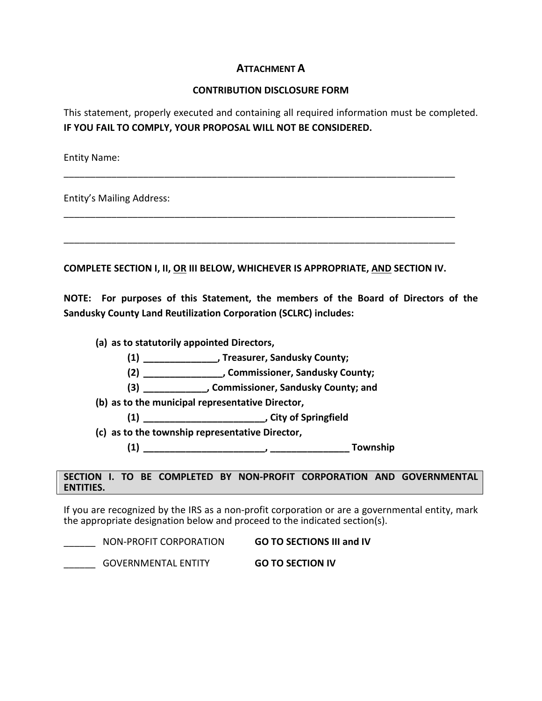## **ATTACHMENT A**

#### **CONTRIBUTION DISCLOSURE FORM**

This statement, properly executed and containing all required information must be completed. **IF YOU FAIL TO COMPLY, YOUR PROPOSAL WILL NOT BE CONSIDERED.**

Entity Name:

Entity's Mailing Address:

**COMPLETE SECTION I, II, OR III BELOW, WHICHEVER IS APPROPRIATE, AND SECTION IV.**

\_\_\_\_\_\_\_\_\_\_\_\_\_\_\_\_\_\_\_\_\_\_\_\_\_\_\_\_\_\_\_\_\_\_\_\_\_\_\_\_\_\_\_\_\_\_\_\_\_\_\_\_\_\_\_\_\_\_\_\_\_\_\_\_\_\_\_\_\_\_\_\_\_\_

\_\_\_\_\_\_\_\_\_\_\_\_\_\_\_\_\_\_\_\_\_\_\_\_\_\_\_\_\_\_\_\_\_\_\_\_\_\_\_\_\_\_\_\_\_\_\_\_\_\_\_\_\_\_\_\_\_\_\_\_\_\_\_\_\_\_\_\_\_\_\_\_\_\_

\_\_\_\_\_\_\_\_\_\_\_\_\_\_\_\_\_\_\_\_\_\_\_\_\_\_\_\_\_\_\_\_\_\_\_\_\_\_\_\_\_\_\_\_\_\_\_\_\_\_\_\_\_\_\_\_\_\_\_\_\_\_\_\_\_\_\_\_\_\_\_\_\_\_

**NOTE: For purposes of this Statement, the members of the Board of Directors of the Sandusky County Land Reutilization Corporation (SCLRC) includes:** 

**(a) as to statutorily appointed Directors,** 

- **(1) \_\_\_\_\_\_\_\_\_\_\_\_\_\_, Treasurer, Sandusky County;**
- **(2) \_\_\_\_\_\_\_\_\_\_\_\_\_\_\_, Commissioner, Sandusky County;**
- **(3) \_\_\_\_\_\_\_\_\_\_\_\_, Commissioner, Sandusky County; and**
- **(b) as to the municipal representative Director,** 
	- **(1) \_\_\_\_\_\_\_\_\_\_\_\_\_\_\_\_\_\_\_\_\_\_\_, City of Springfield**
- **(c) as to the township representative Director,** 
	- **(1) \_\_\_\_\_\_\_\_\_\_\_\_\_\_\_\_\_\_\_\_\_\_\_, \_\_\_\_\_\_\_\_\_\_\_\_\_\_\_ Township**

#### **SECTION I. TO BE COMPLETED BY NON-PROFIT CORPORATION AND GOVERNMENTAL ENTITIES.**

If you are recognized by the IRS as a non-profit corporation or are a governmental entity, mark the appropriate designation below and proceed to the indicated section(s).

| NON-PROFIT CORPORATION     | <b>GO TO SECTIONS III and IV</b> |
|----------------------------|----------------------------------|
| <b>GOVERNMENTAL ENTITY</b> | <b>GO TO SECTION IV</b>          |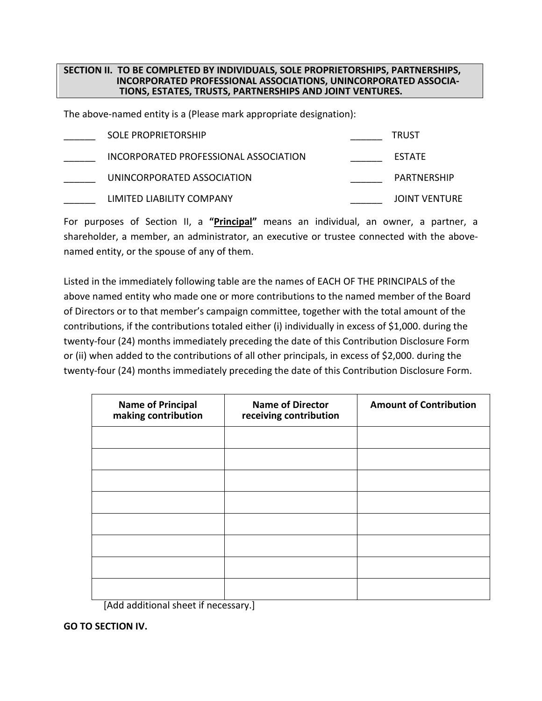#### **SECTION II. TO BE COMPLETED BY INDIVIDUALS, SOLE PROPRIETORSHIPS, PARTNERSHIPS, INCORPORATED PROFESSIONAL ASSOCIATIONS, UNINCORPORATED ASSOCIA-TIONS, ESTATES, TRUSTS, PARTNERSHIPS AND JOINT VENTURES.**

The above-named entity is a (Please mark appropriate designation):

| <b>SOLE PROPRIETORSHIP</b>            | <b>TRUST</b>         |
|---------------------------------------|----------------------|
| INCORPORATED PROFESSIONAL ASSOCIATION | <b>ESTATE</b>        |
| UNINCORPORATED ASSOCIATION            | PARTNERSHIP          |
| LIMITED LIABILITY COMPANY             | <b>JOINT VENTURE</b> |

For purposes of Section II, a **"Principal"** means an individual, an owner, a partner, a shareholder, a member, an administrator, an executive or trustee connected with the abovenamed entity, or the spouse of any of them.

Listed in the immediately following table are the names of EACH OF THE PRINCIPALS of the above named entity who made one or more contributions to the named member of the Board of Directors or to that member's campaign committee, together with the total amount of the contributions, if the contributions totaled either (i) individually in excess of \$1,000. during the twenty-four (24) months immediately preceding the date of this Contribution Disclosure Form or (ii) when added to the contributions of all other principals, in excess of \$2,000. during the twenty-four (24) months immediately preceding the date of this Contribution Disclosure Form.

| <b>Name of Principal</b><br>making contribution | <b>Name of Director</b><br>receiving contribution | <b>Amount of Contribution</b> |  |
|-------------------------------------------------|---------------------------------------------------|-------------------------------|--|
|                                                 |                                                   |                               |  |
|                                                 |                                                   |                               |  |
|                                                 |                                                   |                               |  |
|                                                 |                                                   |                               |  |
|                                                 |                                                   |                               |  |
|                                                 |                                                   |                               |  |
|                                                 |                                                   |                               |  |
|                                                 |                                                   |                               |  |

[Add additional sheet if necessary.]

**GO TO SECTION IV.**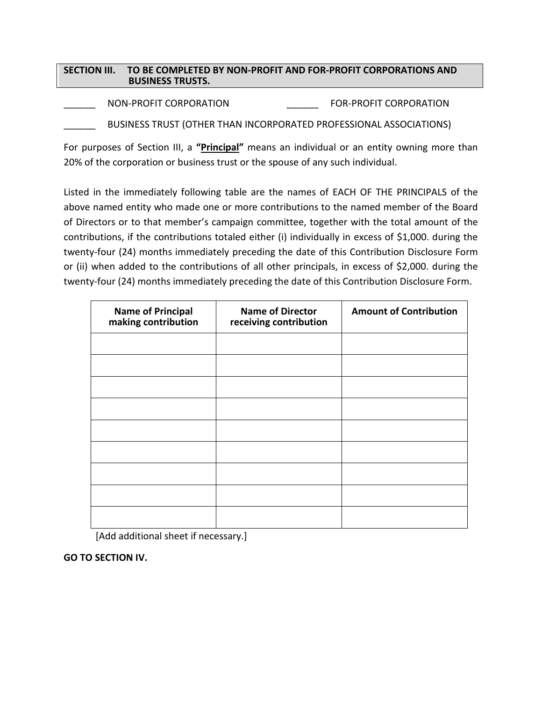### **SECTION III. TO BE COMPLETED BY NON-PROFIT AND FOR-PROFIT CORPORATIONS AND BUSINESS TRUSTS.**

NON-PROFIT CORPORATION FOR-PROFIT CORPORATION

BUSINESS TRUST (OTHER THAN INCORPORATED PROFESSIONAL ASSOCIATIONS)

For purposes of Section III, a **"Principal"** means an individual or an entity owning more than 20% of the corporation or business trust or the spouse of any such individual.

Listed in the immediately following table are the names of EACH OF THE PRINCIPALS of the above named entity who made one or more contributions to the named member of the Board of Directors or to that member's campaign committee, together with the total amount of the contributions, if the contributions totaled either (i) individually in excess of \$1,000. during the twenty-four (24) months immediately preceding the date of this Contribution Disclosure Form or (ii) when added to the contributions of all other principals, in excess of \$2,000. during the twenty-four (24) months immediately preceding the date of this Contribution Disclosure Form.

| <b>Name of Principal</b><br>making contribution | <b>Name of Director</b><br>receiving contribution | <b>Amount of Contribution</b> |
|-------------------------------------------------|---------------------------------------------------|-------------------------------|
|                                                 |                                                   |                               |
|                                                 |                                                   |                               |
|                                                 |                                                   |                               |
|                                                 |                                                   |                               |
|                                                 |                                                   |                               |
|                                                 |                                                   |                               |
|                                                 |                                                   |                               |
|                                                 |                                                   |                               |
|                                                 |                                                   |                               |

[Add additional sheet if necessary.]

**GO TO SECTION IV.**